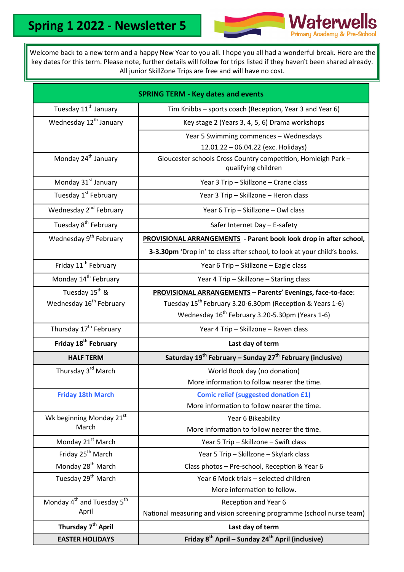

Welcome back to a new term and a happy New Year to you all. I hope you all had a wonderful break. Here are the key dates for this term. Please note, further details will follow for trips listed if they haven't been shared already. All junior SkillZone Trips are free and will have no cost.

| <b>SPRING TERM - Key dates and events</b>                   |                                                                                      |
|-------------------------------------------------------------|--------------------------------------------------------------------------------------|
| Tuesday 11 <sup>th</sup> January                            | Tim Knibbs - sports coach (Reception, Year 3 and Year 6)                             |
| Wednesday 12 <sup>th</sup> January                          | Key stage 2 (Years 3, 4, 5, 6) Drama workshops                                       |
|                                                             | Year 5 Swimming commences - Wednesdays                                               |
|                                                             | 12.01.22 - 06.04.22 (exc. Holidays)                                                  |
| Monday 24 <sup>th</sup> January                             | Gloucester schools Cross Country competition, Homleigh Park -<br>qualifying children |
| Monday 31 <sup>st</sup> January                             | Year 3 Trip - Skillzone - Crane class                                                |
| Tuesday 1 <sup>st</sup> February                            | Year 3 Trip - Skillzone - Heron class                                                |
| Wednesday 2 <sup>nd</sup> February                          | Year 6 Trip - Skillzone - Owl class                                                  |
| Tuesday 8 <sup>th</sup> February                            | Safer Internet Day - E-safety                                                        |
| Wednesday 9 <sup>th</sup> February                          | <b>PROVISIONAL ARRANGEMENTS</b> - Parent book look drop in after school,             |
|                                                             | 3-3.30pm 'Drop in' to class after school, to look at your child's books.             |
| Friday 11 <sup>th</sup> February                            | Year 6 Trip - Skillzone - Eagle class                                                |
| Monday 14 <sup>th</sup> February                            | Year 4 Trip - Skillzone - Starling class                                             |
| Tuesday 15 <sup>th</sup> &                                  | <b>PROVISIONAL ARRANGEMENTS - Parents' Evenings, face-to-face:</b>                   |
| Wednesday 16 <sup>th</sup> February                         | Tuesday 15 <sup>th</sup> February 3.20-6.30pm (Reception & Years 1-6)                |
|                                                             | Wednesday 16 <sup>th</sup> February 3.20-5.30pm (Years 1-6)                          |
| Thursday 17 <sup>th</sup> February                          | Year 4 Trip - Skillzone - Raven class                                                |
| Friday 18 <sup>th</sup> February                            | Last day of term                                                                     |
| <b>HALF TERM</b>                                            | Saturday 19 <sup>th</sup> February - Sunday 27 <sup>th</sup> February (inclusive)    |
| Thursday 3rd March                                          | World Book day (no donation)                                                         |
|                                                             | More information to follow nearer the time.                                          |
| <b>Friday 18th March</b>                                    | <b>Comic relief (suggested donation £1)</b>                                          |
|                                                             | More information to follow nearer the time.                                          |
| Wk beginning Monday 21st<br>March                           | Year 6 Bikeability                                                                   |
|                                                             | More information to follow nearer the time.                                          |
| Monday 21 <sup>st</sup> March                               | Year 5 Trip - Skillzone - Swift class                                                |
| Friday 25 <sup>th</sup> March                               | Year 5 Trip - Skillzone - Skylark class                                              |
| Monday 28 <sup>th</sup> March                               | Class photos - Pre-school, Reception & Year 6                                        |
| Tuesday 29 <sup>th</sup> March                              | Year 6 Mock trials - selected children                                               |
|                                                             | More information to follow.                                                          |
| Monday 4 <sup>th</sup> and Tuesday 5 <sup>th</sup><br>April | Reception and Year 6                                                                 |
|                                                             | National measuring and vision screening programme (school nurse team)                |
| Thursday 7 <sup>th</sup> April                              | Last day of term                                                                     |
| <b>EASTER HOLIDAYS</b>                                      | Friday 8 <sup>th</sup> April – Sunday 24 <sup>th</sup> April (inclusive)             |